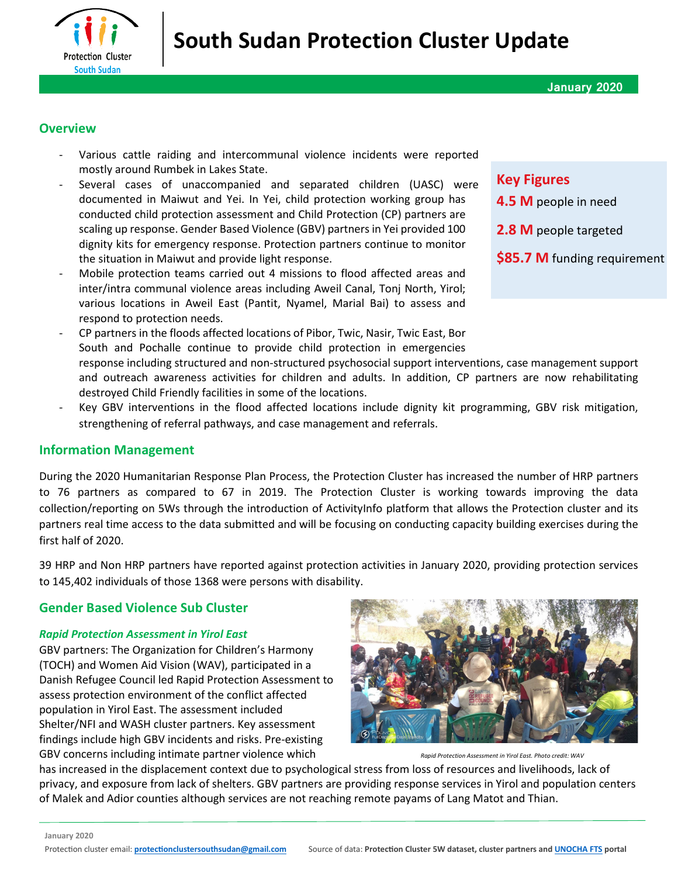

#### **Overview**

- Various cattle raiding and intercommunal violence incidents were reported mostly around Rumbek in Lakes State.
- Several cases of unaccompanied and separated children (UASC) were documented in Maiwut and Yei. In Yei, child protection working group has conducted child protection assessment and Child Protection (CP) partners are scaling up response. Gender Based Violence (GBV) partners in Yei provided 100 dignity kits for emergency response. Protection partners continue to monitor the situation in Maiwut and provide light response.
- Mobile protection teams carried out 4 missions to flood affected areas and inter/intra communal violence areas including Aweil Canal, Tonj North, Yirol; various locations in Aweil East (Pantit, Nyamel, Marial Bai) to assess and respond to protection needs.
- CP partners in the floods affected locations of Pibor, Twic, Nasir, Twic East, Bor South and Pochalle continue to provide child protection in emergencies response including structured and non-structured psychosocial support interventions, case management support and outreach awareness activities for children and adults. In addition, CP partners are now rehabilitating destroyed Child Friendly facilities in some of the locations.
- Key GBV interventions in the flood affected locations include dignity kit programming, GBV risk mitigation, strengthening of referral pathways, and case management and referrals.

#### **Information Management**

During the 2020 Humanitarian Response Plan Process, the Protection Cluster has increased the number of HRP partners to 76 partners as compared to 67 in 2019. The Protection Cluster is working towards improving the data collection/reporting on 5Ws through the introduction of ActivityInfo platform that allows the Protection cluster and its partners real time access to the data submitted and will be focusing on conducting capacity building exercises during the first half of 2020.

39 HRP and Non HRP partners have reported against protection activities in January 2020, providing protection services to 145,402 individuals of those 1368 were persons with disability.

## **Gender Based Violence Sub Cluster**

#### *Rapid Protection Assessment in Yirol East*

GBV partners: The Organization for Children's Harmony (TOCH) and Women Aid Vision (WAV), participated in a Danish Refugee Council led Rapid Protection Assessment to assess protection environment of the conflict affected population in Yirol East. The assessment included Shelter/NFI and WASH cluster partners. Key assessment findings include high GBV incidents and risks. Pre-existing GBV concerns including intimate partner violence which *Rapid Protection Assessment in Yirol East. Photo credit: WAV* 



has increased in the displacement context due to psychological stress from loss of resources and livelihoods, lack of privacy, and exposure from lack of shelters. GBV partners are providing response services in Yirol and population centers of Malek and Adior counties although services are not reaching remote payams of Lang Matot and Thian.

# **Key Figures**

- **4.5 M** people in need
- **2.8 M** people targeted
- **\$85.7 M** funding requirement